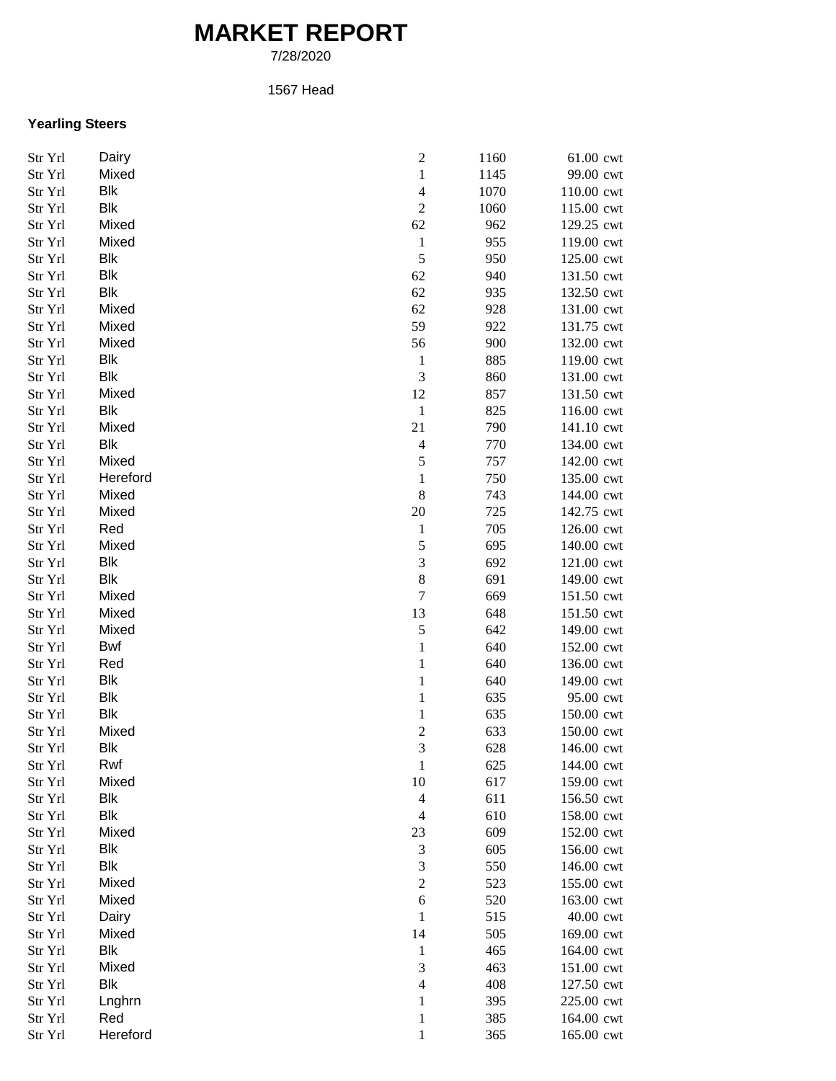## **MARKET REPORT**

7/28/2020

## 1567 Head

## **Yearling Steers**

| Str Yrl | Dairy               | $\boldsymbol{2}$               | 1160       | 61.00 cwt  |
|---------|---------------------|--------------------------------|------------|------------|
| Str Yrl | Mixed               | $\,1$                          | 1145       | 99.00 cwt  |
| Str Yrl | Blk                 | $\overline{4}$                 | 1070       | 110.00 cwt |
| Str Yrl | Blk                 | $\boldsymbol{2}$               | 1060       | 115.00 cwt |
| Str Yrl | Mixed               | 62                             | 962        | 129.25 cwt |
| Str Yrl | Mixed               | $\mathbf{1}$                   | 955        | 119.00 cwt |
| Str Yrl | Blk                 | 5                              | 950        | 125.00 cwt |
| Str Yrl | Blk                 | 62                             | 940        | 131.50 cwt |
| Str Yrl | Blk                 | 62                             | 935        | 132.50 cwt |
| Str Yrl | Mixed               | 62                             | 928        | 131.00 cwt |
| Str Yrl | Mixed               | 59                             | 922        | 131.75 cwt |
| Str Yrl | Mixed               | 56                             | 900        | 132.00 cwt |
|         | Blk                 |                                | 885        | 119.00 cwt |
| Str Yrl | Blk                 | $\mathbf{1}$<br>$\mathfrak{Z}$ |            |            |
| Str Yrl |                     |                                | 860        | 131.00 cwt |
| Str Yrl | Mixed               | 12                             | 857        | 131.50 cwt |
| Str Yrl | Blk                 | $\,1\,$                        | 825        | 116.00 cwt |
| Str Yrl | Mixed               | 21                             | 790        | 141.10 cwt |
| Str Yrl | <b>Blk</b>          | $\overline{4}$                 | 770        | 134.00 cwt |
| Str Yrl | Mixed               | $\sqrt{5}$                     | 757        | 142.00 cwt |
| Str Yrl | Hereford            | $\mathbf{1}$                   | 750        | 135.00 cwt |
| Str Yrl | Mixed               | $\,8$                          | 743        | 144.00 cwt |
| Str Yrl | Mixed               | 20                             | 725        | 142.75 cwt |
| Str Yrl | Red                 | $\mathbf{1}$                   | 705        | 126.00 cwt |
| Str Yrl | Mixed               | $\sqrt{5}$                     | 695        | 140.00 cwt |
| Str Yrl | Blk                 | 3                              | 692        | 121.00 cwt |
| Str Yrl | Blk                 | $\,$ $\,$                      | 691        | 149.00 cwt |
| Str Yrl | Mixed               | $\overline{7}$                 | 669        | 151.50 cwt |
| Str Yrl | Mixed               | 13                             | 648        | 151.50 cwt |
| Str Yrl | Mixed               | $\sqrt{5}$                     | 642        | 149.00 cwt |
| Str Yrl | Bwf                 | $\mathbf{1}$                   | 640        | 152.00 cwt |
| Str Yrl | Red                 | $\mathbf{1}$                   | 640        | 136.00 cwt |
| Str Yrl | Blk                 | $\,1$                          | 640        | 149.00 cwt |
| Str Yrl | <b>Blk</b>          | $\mathbf{1}$                   | 635        | 95.00 cwt  |
| Str Yrl | Blk                 | $\mathbf{1}$                   | 635        | 150.00 cwt |
| Str Yrl | Mixed               | $\overline{c}$                 | 633        | 150.00 cwt |
| Str Yrl | Blk                 | 3                              | 628        | 146.00 cwt |
| Str Yrl | Rwf                 | 1                              | 625        | 144.00 cwt |
| Str Yrl | Mixed               | 10                             | 617        | 159.00 cwt |
| Str Yrl | Blk                 | $\overline{4}$                 | 611        | 156.50 cwt |
| Str Yrl | <b>Blk</b>          | $\overline{4}$                 | 610        | 158.00 cwt |
| Str Yrl | Mixed               | 23                             | 609        | 152.00 cwt |
| Str Yrl | Blk                 | $\mathfrak{Z}$                 | 605        | 156.00 cwt |
| Str Yrl | Blk                 | 3                              | 550        | 146.00 cwt |
| Str Yrl | Mixed               | $\overline{2}$                 | 523        | 155.00 cwt |
| Str Yrl | Mixed               | $\sqrt{6}$                     | 520        | 163.00 cwt |
| Str Yrl | Dairy               | 1                              | 515        | 40.00 cwt  |
|         | Mixed               |                                |            |            |
| Str Yrl | Blk                 | 14                             | 505<br>465 | 169.00 cwt |
| Str Yrl |                     | $\mathbf{1}$                   |            | 164.00 cwt |
| Str Yrl | Mixed<br><b>Blk</b> | 3<br>$\overline{4}$            | 463        | 151.00 cwt |
| Str Yrl |                     |                                | 408        | 127.50 cwt |
| Str Yrl | Lnghrn              | $\mathbf{1}$                   | 395        | 225.00 cwt |
| Str Yrl | Red                 | $\mathbf{1}$                   | 385        | 164.00 cwt |
| Str Yrl | Hereford            | $\mathbf{1}$                   | 365        | 165.00 cwt |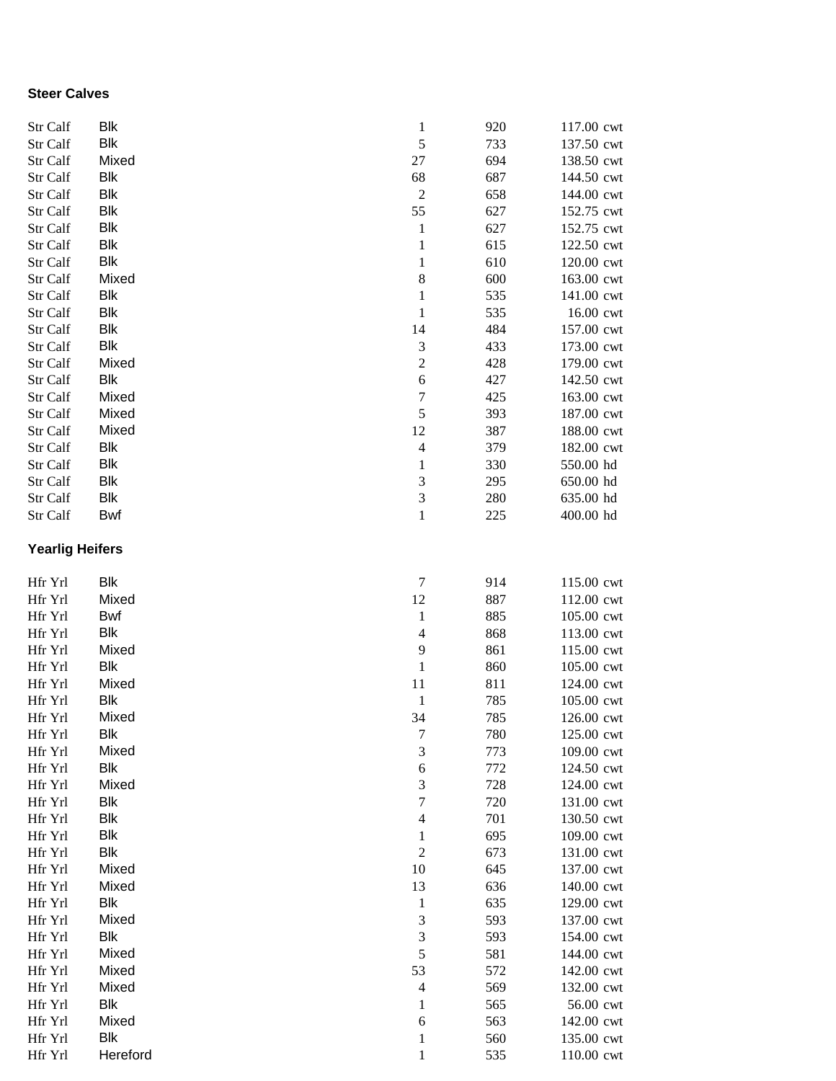## **Steer Calves**

| Str Calf               | <b>Blk</b> | $\mathbf{1}$     | 920 | 117.00 cwt |
|------------------------|------------|------------------|-----|------------|
| Str Calf               | <b>Blk</b> | 5                | 733 | 137.50 cwt |
| Str Calf               | Mixed      | 27               | 694 | 138.50 cwt |
| Str Calf               | <b>Blk</b> | 68               | 687 | 144.50 cwt |
| Str Calf               | <b>Blk</b> | $\overline{c}$   | 658 | 144.00 cwt |
|                        |            |                  |     |            |
| Str Calf               | <b>Blk</b> | 55               | 627 | 152.75 cwt |
| Str Calf               | <b>Blk</b> | $\mathbf 1$      | 627 | 152.75 cwt |
| Str Calf               | <b>Blk</b> | $\mathbf 1$      | 615 | 122.50 cwt |
| Str Calf               | <b>Blk</b> | $\mathbf{1}$     | 610 | 120.00 cwt |
| Str Calf               | Mixed      | $\,$ 8 $\,$      | 600 | 163.00 cwt |
| Str Calf               | <b>Blk</b> | $\mathbf 1$      | 535 | 141.00 cwt |
| Str Calf               | <b>Blk</b> | $\mathbf 1$      | 535 | 16.00 cwt  |
| Str Calf               | <b>Blk</b> | 14               | 484 | 157.00 cwt |
| Str Calf               | <b>Blk</b> | $\mathfrak{Z}$   | 433 | 173.00 cwt |
| Str Calf               | Mixed      | $\overline{c}$   | 428 | 179.00 cwt |
| Str Calf               | <b>Blk</b> | 6                | 427 | 142.50 cwt |
| Str Calf               | Mixed      | $\boldsymbol{7}$ | 425 | 163.00 cwt |
| Str Calf               | Mixed      | 5                | 393 | 187.00 cwt |
| Str Calf               | Mixed      | 12               | 387 | 188.00 cwt |
| Str Calf               | <b>Blk</b> | $\overline{4}$   | 379 | 182.00 cwt |
| Str Calf               | <b>Blk</b> | $\mathbf{1}$     | 330 | 550.00 hd  |
| Str Calf               | <b>Blk</b> | $\mathfrak{Z}$   | 295 | 650.00 hd  |
| Str Calf               | Blk        | 3                | 280 | 635.00 hd  |
| Str Calf               | Bwf        | $\mathbf{1}$     | 225 | 400.00 hd  |
| <b>Yearlig Heifers</b> |            |                  |     |            |
|                        | <b>Blk</b> | $\tau$           |     |            |
| Hfr Yrl                | Mixed      |                  | 914 | 115.00 cwt |
| Hfr Yrl                |            | 12               | 887 | 112.00 cwt |
| Hfr Yrl                | <b>Bwf</b> | $\mathbf{1}$     | 885 | 105.00 cwt |
| Hfr Yrl                | Blk        | $\overline{4}$   | 868 | 113.00 cwt |
| Hfr Yrl                | Mixed      | 9                | 861 | 115.00 cwt |
| Hfr Yrl                | Blk        | $\mathbf{1}$     | 860 | 105.00 cwt |
| Hfr Yrl                | Mixed      | 11               | 811 | 124.00 cwt |
| Hfr Yrl                | <b>Blk</b> | $\mathbf{1}$     | 785 | 105.00 cwt |
| Hfr Yrl                | Mixed      | 34               | 785 | 126.00 cwt |
| Hfr Yrl                | Blk        | 7                | 780 | 125.00 cwt |
| Hfr Yrl                | Mixed      | 3                | 773 | 109.00 cwt |
| Hfr Yrl                | Blk        | $\sqrt{6}$       | 772 | 124.50 cwt |
| Hfr Yrl                | Mixed      | 3                | 728 | 124.00 cwt |
| Hfr Yrl                | Blk        | $\boldsymbol{7}$ | 720 | 131.00 cwt |
| Hfr Yrl                | <b>Blk</b> | $\overline{4}$   | 701 | 130.50 cwt |
| Hfr Yrl                | <b>Blk</b> | $\mathbf{1}$     | 695 | 109.00 cwt |
| Hfr Yrl                | <b>Blk</b> | $\overline{c}$   | 673 | 131.00 cwt |
| Hfr Yrl                | Mixed      | 10               | 645 | 137.00 cwt |
| Hfr Yrl                | Mixed      | 13               | 636 | 140.00 cwt |
| Hfr Yrl                | <b>Blk</b> | $\mathbf{1}$     | 635 | 129.00 cwt |
| Hfr Yrl                | Mixed      | $\mathfrak{Z}$   | 593 | 137.00 cwt |
| Hfr Yrl                | <b>Blk</b> | 3                | 593 | 154.00 cwt |
| Hfr Yrl                | Mixed      | 5                | 581 | 144.00 cwt |
| Hfr Yrl                | Mixed      | 53               | 572 | 142.00 cwt |
| Hfr Yrl                | Mixed      | $\overline{4}$   | 569 | 132.00 cwt |
| Hfr Yrl                | <b>Blk</b> | 1                | 565 | 56.00 cwt  |
| Hfr Yrl                | Mixed      | 6                | 563 | 142.00 cwt |
| Hfr Yrl                | <b>Blk</b> | $\mathbf{1}$     | 560 | 135.00 cwt |
| Hfr Yrl                | Hereford   | $\mathbf{1}$     | 535 | 110.00 cwt |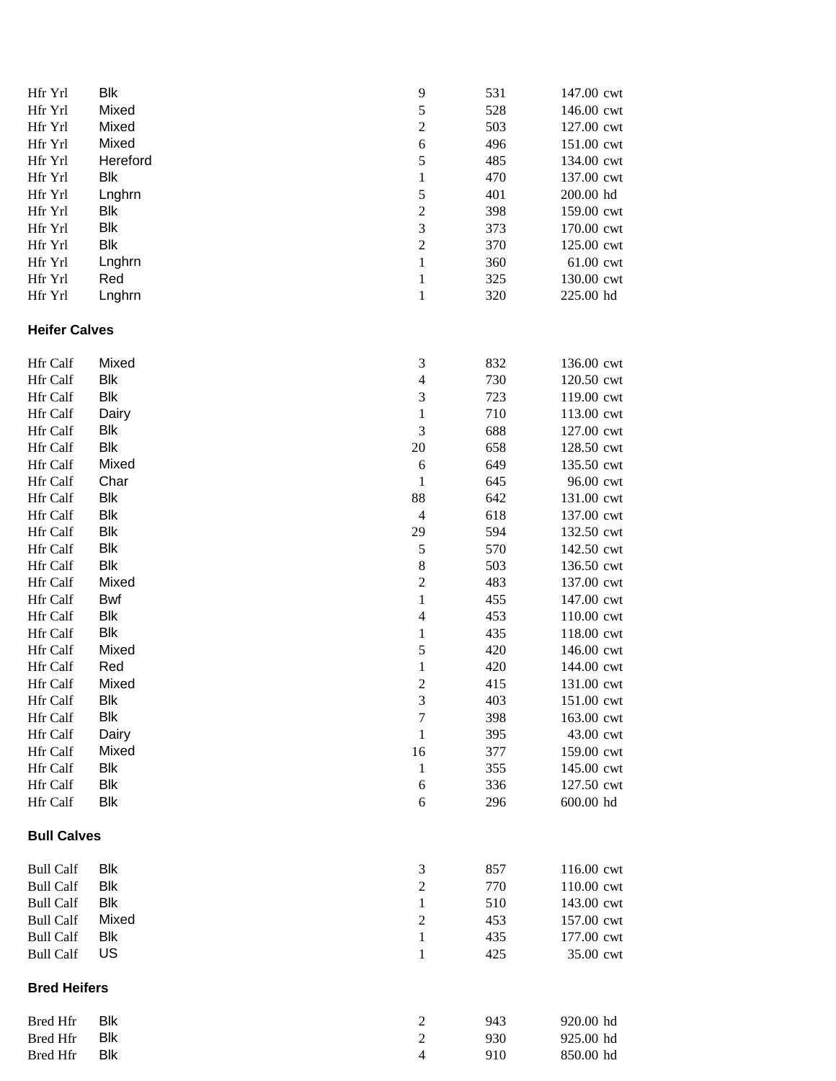| Hfr Yrl                              | <b>Blk</b>        | 9                                                                | 531        | 147.00 cwt              |
|--------------------------------------|-------------------|------------------------------------------------------------------|------------|-------------------------|
| Hfr Yrl                              | Mixed             | 5                                                                | 528        | 146.00 cwt              |
| Hfr Yrl                              | Mixed             | $\boldsymbol{2}$                                                 | 503        | 127.00 cwt              |
| Hfr Yrl                              | Mixed             | $\sqrt{6}$                                                       | 496        | 151.00 cwt              |
| Hfr Yrl                              | Hereford          | $\sqrt{5}$                                                       | 485        | 134.00 cwt              |
| Hfr Yrl                              | <b>Blk</b>        | $\mathbf{1}$                                                     | 470        | 137.00 cwt              |
| Hfr Yrl                              | Lnghrn            | 5                                                                | 401        | 200.00 hd               |
| Hfr Yrl                              | <b>Blk</b>        | $\boldsymbol{2}$                                                 | 398        | 159.00 cwt              |
| Hfr Yrl                              | <b>Blk</b>        | 3                                                                | 373        | 170.00 cwt              |
| Hfr Yrl                              | Blk               | $\sqrt{2}$                                                       | 370        | 125.00 cwt              |
| Hfr Yrl                              | Lnghrn            | $\mathbf{1}$                                                     | 360        | 61.00 cwt               |
| Hfr Yrl                              | Red               | $\,1$                                                            | 325        | 130.00 cwt              |
| Hfr Yrl                              | Lnghrn            | $\,1$                                                            | 320        | 225.00 hd               |
| <b>Heifer Calves</b>                 |                   |                                                                  |            |                         |
| <b>Hfr Calf</b>                      | Mixed             | $\mathfrak{Z}$                                                   | 832        | 136.00 cwt              |
| Hfr Calf                             | Blk               | $\overline{4}$                                                   | 730        | 120.50 cwt              |
| Hfr Calf                             | <b>Blk</b>        | $\mathfrak 3$                                                    | 723        | 119.00 cwt              |
| Hfr Calf                             | Dairy             | $\mathbf{1}$                                                     | 710        | 113.00 cwt              |
| Hfr Calf                             | Blk               | $\mathfrak 3$                                                    |            |                         |
|                                      | <b>Blk</b>        |                                                                  | 688        | 127.00 cwt              |
| Hfr Calf                             | Mixed             | 20                                                               | 658        | 128.50 cwt              |
| Hfr Calf                             | Char              | 6                                                                | 649        | 135.50 cwt              |
| Hfr Calf                             | <b>Blk</b>        | $\mathbf{1}$                                                     | 645        | 96.00 cwt               |
| Hfr Calf<br>Hfr Calf                 | <b>Blk</b>        | 88<br>$\overline{4}$                                             | 642        | 131.00 cwt              |
|                                      | <b>Blk</b>        |                                                                  | 618        | 137.00 cwt              |
| Hfr Calf                             |                   | 29                                                               | 594        | 132.50 cwt              |
| Hfr Calf                             | <b>Blk</b>        | $\sqrt{5}$                                                       | 570        | 142.50 cwt              |
| Hfr Calf                             | <b>Blk</b>        | $\,8\,$                                                          | 503        | 136.50 cwt              |
| Hfr Calf                             | Mixed             | $\sqrt{2}$                                                       | 483        | 137.00 cwt              |
| Hfr Calf                             | <b>Bwf</b>        | $\,1$                                                            | 455        | 147.00 cwt              |
| Hfr Calf                             | <b>Blk</b>        | $\overline{4}$                                                   | 453        | 110.00 cwt              |
| Hfr Calf                             | <b>Blk</b>        | $\mathbf{1}$                                                     | 435        | 118.00 cwt              |
| Hfr Calf                             | Mixed             | 5                                                                | 420        | 146.00 cwt              |
| Hfr Calf                             | Red               | $\mathbf{1}$                                                     | 420        | 144.00 cwt              |
| Hfr Calf                             | Mixed             | $\overline{c}$                                                   | 415        | 131.00 cwt              |
| Hfr Calf                             | Blk               | 3                                                                | 403        | 151.00 cwt              |
| Hfr Calf                             | <b>Blk</b>        | $\tau$                                                           | 398        | 163.00 cwt              |
| Hfr Calf                             | Dairy             | $\mathbf{1}$                                                     | 395        | 43.00 cwt               |
| Hfr Calf                             | Mixed             | 16                                                               | 377        | 159.00 cwt              |
| Hfr Calf                             | <b>Blk</b>        | $\mathbf{1}$                                                     | 355        | 145.00 cwt              |
| <b>Hfr Calf</b><br>Hfr Calf          | Blk<br><b>Blk</b> | 6<br>6                                                           | 336<br>296 | 127.50 cwt<br>600.00 hd |
| <b>Bull Calves</b>                   |                   |                                                                  |            |                         |
|                                      |                   |                                                                  |            |                         |
| <b>Bull Calf</b>                     | Blk               | $\mathfrak{Z}$                                                   | 857        | 116.00 cwt              |
| <b>Bull Calf</b>                     | Blk               | $\overline{2}$                                                   | 770        | 110.00 cwt              |
| <b>Bull Calf</b>                     | <b>Blk</b>        | $\mathbf{1}$                                                     | 510        | 143.00 cwt              |
| <b>Bull Calf</b>                     | Mixed             | $\overline{2}$                                                   | 453        | 157.00 cwt              |
| <b>Bull Calf</b><br><b>Bull Calf</b> | <b>Blk</b><br>US  | $\mathbf{1}$<br>1                                                | 435<br>425 | 177.00 cwt<br>35.00 cwt |
| <b>Bred Heifers</b>                  |                   |                                                                  |            |                         |
|                                      |                   |                                                                  |            |                         |
| <b>Bred Hfr</b>                      | Blk               | $\overline{c}$                                                   | 943        | 920.00 hd               |
| <b>Bred Hfr</b>                      | <b>Blk</b>        | $\mathfrak{2}% _{T}=\mathfrak{2}_{T}\!\left( T_{T_{1}}\right) ,$ | 930        | 925.00 hd               |
| <b>Bred Hfr</b>                      | <b>Blk</b>        | $\overline{4}$                                                   | 910        | 850.00 hd               |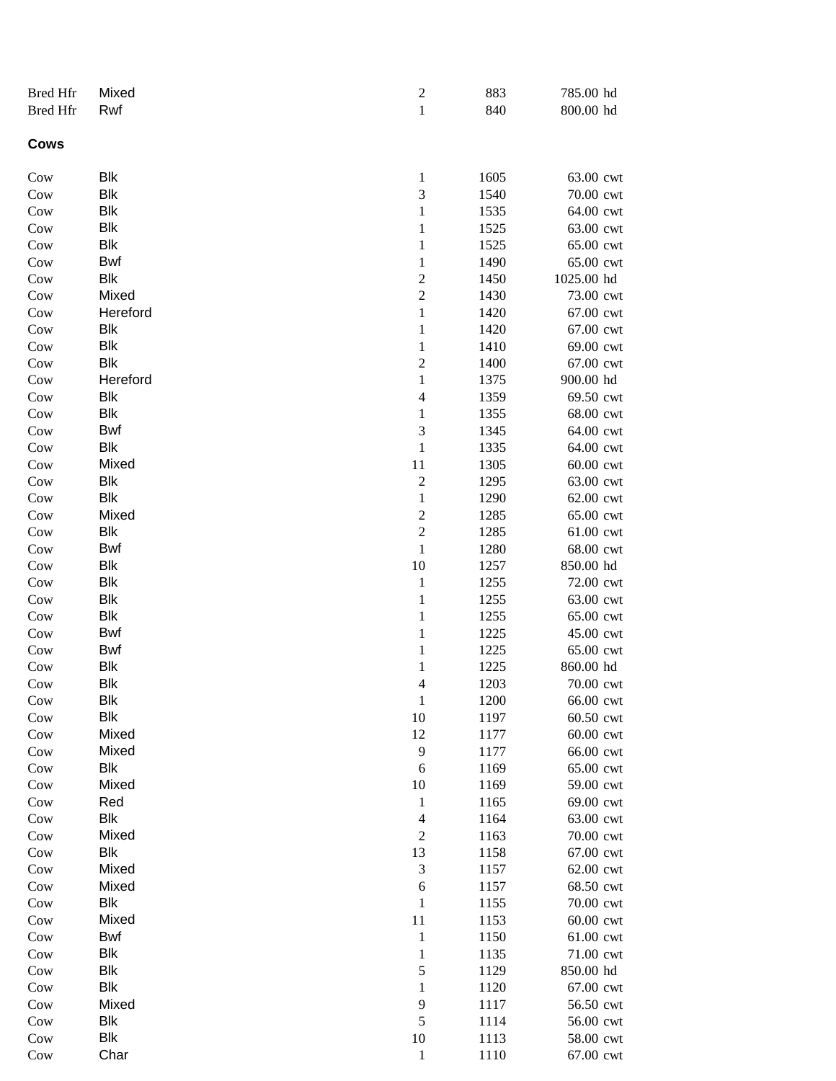| <b>Bred Hfr</b> | Mixed      | $\overline{\mathbf{c}}$ | 883          | 785.00 hd              |
|-----------------|------------|-------------------------|--------------|------------------------|
| <b>Bred Hfr</b> | Rwf        | $\mathbf{1}$            | 840          | 800.00 hd              |
| Cows            |            |                         |              |                        |
| Cow             | Blk        | 1                       | 1605         | 63.00 cwt              |
| Cow             | Blk        | $\mathfrak 3$           | 1540         | 70.00 cwt              |
| Cow             | Blk        | $\mathbf{1}$            | 1535         | 64.00 cwt              |
| Cow             | Blk        | $\mathbf{1}$            | 1525         | 63.00 cwt              |
| Cow             | Blk        | $\mathbf{1}$            | 1525         | 65.00 cwt              |
| Cow             | Bwf        | $\mathbf{1}$            | 1490         | 65.00 cwt              |
| Cow             | Blk        | $\boldsymbol{2}$        | 1450         | 1025.00 hd             |
| Cow             | Mixed      | $\overline{c}$          | 1430         | 73.00 cwt              |
| Cow             | Hereford   | $\,1\,$                 | 1420         | 67.00 cwt              |
| Cow             | <b>Blk</b> | $\,1\,$                 | 1420         | 67.00 cwt              |
| Cow             | <b>Blk</b> | $\mathbf{1}$            | 1410         | 69.00 cwt              |
| Cow             | <b>Blk</b> | $\overline{c}$          | 1400         | 67.00 cwt              |
| Cow             | Hereford   | $\mathbf{1}$            | 1375         | 900.00 hd              |
| Cow             | Blk        | $\overline{4}$          | 1359         | 69.50 cwt              |
| Cow             | Blk        | $\mathbf{1}$            | 1355         | 68.00 cwt              |
| Cow             | Bwf        | $\sqrt{3}$              | 1345         | 64.00 cwt              |
| Cow             | Blk        | $\mathbf 1$             | 1335         | 64.00 cwt              |
| Cow             | Mixed      | 11                      | 1305         | 60.00 cwt              |
| Cow             | Blk        | $\sqrt{2}$              | 1295         | 63.00 cwt              |
| Cow             | Blk        | $\mathbf 1$             | 1290         | 62.00 cwt              |
| Cow             | Mixed      | $\overline{c}$          | 1285         | 65.00 cwt              |
| Cow             | Blk        | $\overline{c}$          | 1285         | 61.00 cwt              |
| Cow             | Bwf        | $\,1\,$                 | 1280         | 68.00 cwt              |
| Cow             | Blk<br>Blk | 10<br>$\,1\,$           | 1257         | 850.00 hd              |
| Cow             | <b>Blk</b> | $\,1\,$                 | 1255<br>1255 | 72.00 cwt<br>63.00 cwt |
| Cow<br>Cow      | <b>Blk</b> | $\,1\,$                 | 1255         | 65.00 cwt              |
| Cow             | <b>Bwf</b> | $\,1\,$                 | 1225         | 45.00 cwt              |
| Cow             | <b>Bwf</b> | $\mathbf 1$             | 1225         | 65.00 cwt              |
| Cow             | Blk        | $\mathbf{1}$            | 1225         | 860.00 hd              |
| Cow             | Blk        | $\overline{4}$          | 1203         | 70.00 cwt              |
| Cow             | Blk        | $\mathbf{1}$            | 1200         | 66.00 cwt              |
| Cow             | Blk        | 10                      | 1197         | 60.50 cwt              |
| Cow             | Mixed      | 12                      | 1177         | 60.00 cwt              |
| Cow             | Mixed      | 9                       | 1177         | 66.00 cwt              |
| Cow             | Blk        | $\sqrt{6}$              | 1169         | 65.00 cwt              |
| Cow             | Mixed      | 10                      | 1169         | 59.00 cwt              |
| Cow             | Red        | $\mathbf{1}$            | 1165         | 69.00 cwt              |
| Cow             | Blk        | $\overline{4}$          | 1164         | 63.00 cwt              |
| Cow             | Mixed      | $\sqrt{2}$              | 1163         | 70.00 cwt              |
| Cow             | Blk        | 13                      | 1158         | 67.00 cwt              |
| Cow             | Mixed      | $\mathfrak{Z}$          | 1157         | 62.00 cwt              |
| Cow             | Mixed      | 6                       | 1157         | 68.50 cwt              |
| $\mathrm{Cow}$  | Blk        | $\mathbf{1}$            | 1155         | 70.00 cwt              |
| Cow             | Mixed      | 11                      | 1153         | 60.00 cwt              |
| Cow             | Bwf        | $\mathbf{1}$            | 1150         | 61.00 cwt              |
| Cow             | Blk        | $\mathbf{1}$            | 1135         | 71.00 cwt              |
| Cow             | Blk        | $\sqrt{5}$              | 1129         | 850.00 hd              |
| Cow             | <b>Blk</b> | 1                       | 1120         | 67.00 cwt              |
| Cow             | Mixed      | 9                       | 1117         | 56.50 cwt              |
| Cow             | Blk        | $\sqrt{5}$              | 1114         | 56.00 cwt              |
| Cow             | Blk        | 10                      | 1113         | 58.00 cwt              |
| Cow             | Char       | $\mathbf{1}$            | 1110         | 67.00 cwt              |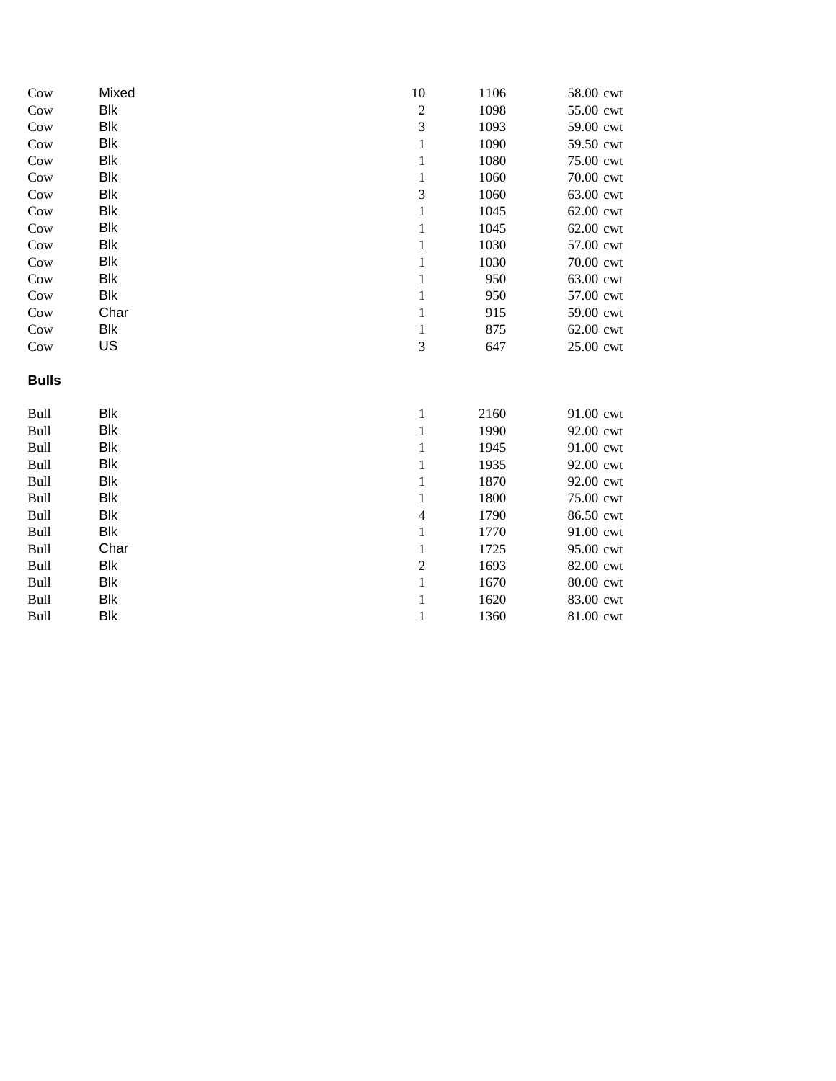| Cow          | Mixed      | 10                       | 1106 | 58.00 cwt |
|--------------|------------|--------------------------|------|-----------|
| Cow          | <b>Blk</b> | $\overline{c}$           | 1098 | 55.00 cwt |
| Cow          | Blk        | 3                        | 1093 | 59.00 cwt |
| Cow          | <b>Blk</b> | 1                        | 1090 | 59.50 cwt |
| Cow          | <b>Blk</b> | $\mathbf{1}$             | 1080 | 75.00 cwt |
| Cow          | Blk        | $\mathbf{1}$             | 1060 | 70.00 cwt |
| Cow          | <b>Blk</b> | 3                        | 1060 | 63.00 cwt |
| Cow          | <b>Blk</b> | $\mathbf{1}$             | 1045 | 62.00 cwt |
| Cow          | Blk        | $\mathbf{1}$             | 1045 | 62.00 cwt |
| Cow          | Blk        | $\mathbf{1}$             | 1030 | 57.00 cwt |
| Cow          | <b>Blk</b> | $\mathbf{1}$             | 1030 | 70.00 cwt |
| Cow          | Blk        | $\mathbf{1}$             | 950  | 63.00 cwt |
| Cow          | <b>Blk</b> | $\mathbf{1}$             | 950  | 57.00 cwt |
| Cow          | Char       | $\mathbf{1}$             | 915  | 59.00 cwt |
| Cow          | Blk        | 1                        | 875  | 62.00 cwt |
| Cow          | US         | 3                        | 647  | 25.00 cwt |
| <b>Bulls</b> |            |                          |      |           |
| Bull         | <b>Blk</b> | $\mathbf{1}$             | 2160 | 91.00 cwt |
| Bull         | Blk        | $\mathbf{1}$             | 1990 | 92.00 cwt |
| Bull         | <b>Blk</b> | $\mathbf{1}$             | 1945 | 91.00 cwt |
| Bull         | <b>Blk</b> | $\mathbf{1}$             | 1935 | 92.00 cwt |
| Bull         | Blk        | $\mathbf{1}$             | 1870 | 92.00 cwt |
| Bull         | <b>Blk</b> | $\mathbf{1}$             | 1800 | 75.00 cwt |
| Bull         | <b>Blk</b> | $\overline{\mathcal{L}}$ | 1790 | 86.50 cwt |
| Bull         | Blk        | $\mathbf{1}$             | 1770 | 91.00 cwt |
| Bull         | Char       | $\mathbf{1}$             | 1725 | 95.00 cwt |
| Bull         | <b>Blk</b> | $\overline{c}$           | 1693 | 82.00 cwt |
| Bull         | Blk        | $\mathbf{1}$             | 1670 | 80.00 cwt |
| Bull         | Blk        | $\mathbf{1}$             | 1620 | 83.00 cwt |
| Bull         | <b>Blk</b> | $\mathbf{1}$             | 1360 | 81.00 cwt |